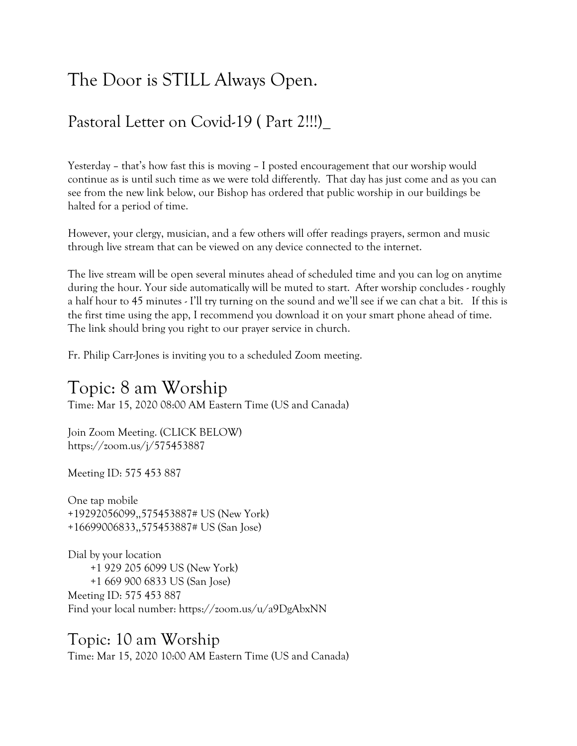# The Door is STILL Always Open.

### Pastoral Letter on Covid-19 ( Part 2!!!)\_

Yesterday – that's how fast this is moving – I posted encouragement that our worship would continue as is until such time as we were told differently. That day has just come and as you can see from the new link below, our Bishop has ordered that public worship in our buildings be halted for a period of time.

However, your clergy, musician, and a few others will offer readings prayers, sermon and music through live stream that can be viewed on any device connected to the internet.

The live stream will be open several minutes ahead of scheduled time and you can log on anytime during the hour. Your side automatically will be muted to start. After worship concludes - roughly a half hour to 45 minutes - I'll try turning on the sound and we'll see if we can chat a bit. If this is the first time using the app, I recommend you download it on your smart phone ahead of time. The link should bring you right to our prayer service in church.

Fr. Philip Carr-Jones is inviting you to a scheduled Zoom meeting.

## Topic: 8 am Worship

Time: Mar 15, 2020 08:00 AM Eastern Time (US and Canada)

Join Zoom Meeting. (CLICK BELOW) https://zoom.us/j/575453887

Meeting ID: 575 453 887

One tap mobile +19292056099,,575453887# US (New York) +16699006833,,575453887# US (San Jose)

Dial by your location +1 929 205 6099 US (New York) +1 669 900 6833 US (San Jose) Meeting ID: 575 453 887 Find your local number: https://zoom.us/u/a9DgAbxNN

Topic: 10 am Worship Time: Mar 15, 2020 10:00 AM Eastern Time (US and Canada)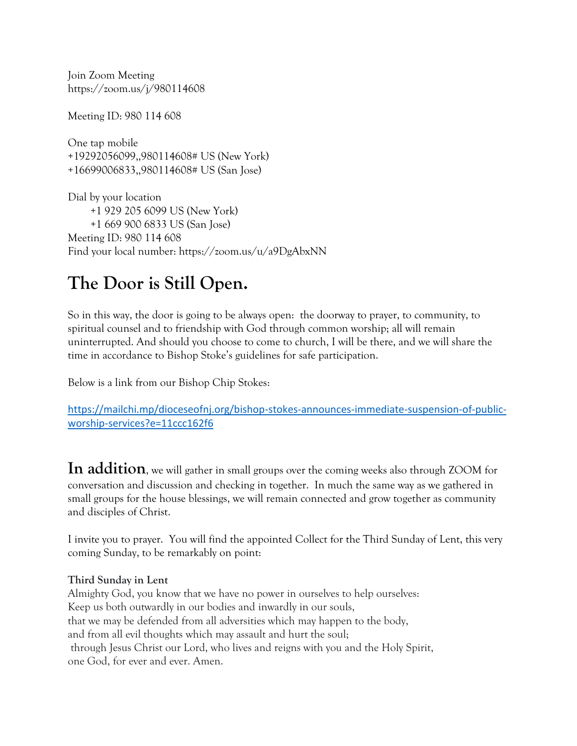Join Zoom Meeting https://zoom.us/j/980114608

Meeting ID: 980 114 608

One tap mobile +19292056099,,980114608# US (New York) +16699006833,,980114608# US (San Jose)

Dial by your location +1 929 205 6099 US (New York) +1 669 900 6833 US (San Jose) Meeting ID: 980 114 608 Find your local number: https://zoom.us/u/a9DgAbxNN

## **The Door is Still Open.**

So in this way, the door is going to be always open: the doorway to prayer, to community, to spiritual counsel and to friendship with God through common worship; all will remain uninterrupted. And should you choose to come to church, I will be there, and we will share the time in accordance to Bishop Stoke's guidelines for safe participation.

Below is a link from our Bishop Chip Stokes:

[https://mailchi.mp/dioceseofnj.org/bishop-stokes-announces-immediate-suspension-of-public](https://mailchi.mp/dioceseofnj.org/bishop-stokes-announces-immediate-suspension-of-public-worship-services?e=11ccc162f6)[worship-services?e=11ccc162f6](https://mailchi.mp/dioceseofnj.org/bishop-stokes-announces-immediate-suspension-of-public-worship-services?e=11ccc162f6)

**In addition**, we will gather in small groups over the coming weeks also through ZOOM for conversation and discussion and checking in together. In much the same way as we gathered in small groups for the house blessings, we will remain connected and grow together as community and disciples of Christ.

I invite you to prayer. You will find the appointed Collect for the Third Sunday of Lent, this very coming Sunday, to be remarkably on point:

#### **Third Sunday in Lent**

Almighty God, you know that we have no power in ourselves to help ourselves: Keep us both outwardly in our bodies and inwardly in our souls, that we may be defended from all adversities which may happen to the body, and from all evil thoughts which may assault and hurt the soul; through Jesus Christ our Lord, who lives and reigns with you and the Holy Spirit, one God, for ever and ever. Amen.